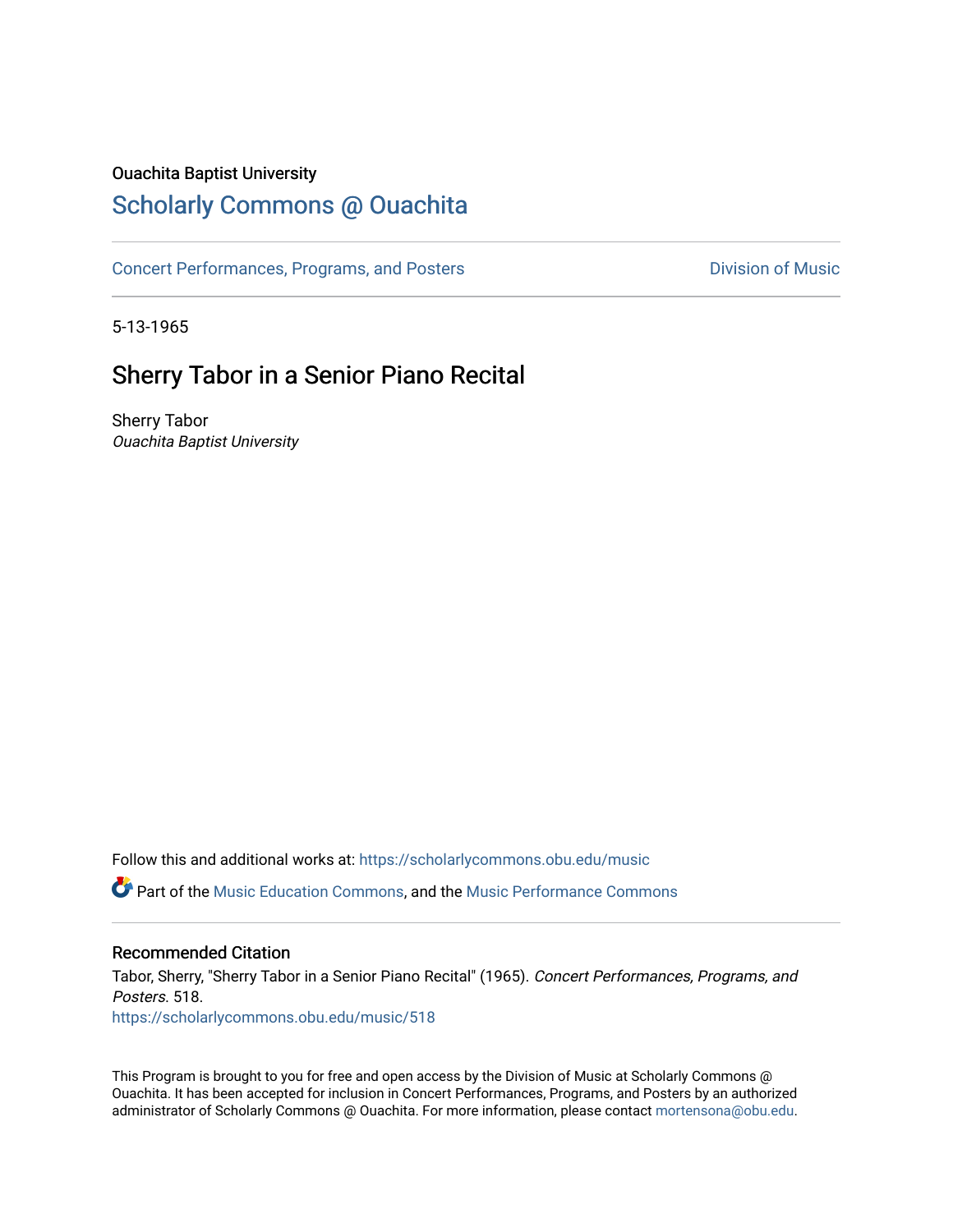### Ouachita Baptist University

## [Scholarly Commons @ Ouachita](https://scholarlycommons.obu.edu/)

[Concert Performances, Programs, and Posters](https://scholarlycommons.obu.edu/music) **Division of Music** Division of Music

5-13-1965

## Sherry Tabor in a Senior Piano Recital

Sherry Tabor Ouachita Baptist University

Follow this and additional works at: [https://scholarlycommons.obu.edu/music](https://scholarlycommons.obu.edu/music?utm_source=scholarlycommons.obu.edu%2Fmusic%2F518&utm_medium=PDF&utm_campaign=PDFCoverPages)  Part of the [Music Education Commons,](http://network.bepress.com/hgg/discipline/1246?utm_source=scholarlycommons.obu.edu%2Fmusic%2F518&utm_medium=PDF&utm_campaign=PDFCoverPages) and the [Music Performance Commons](http://network.bepress.com/hgg/discipline/1128?utm_source=scholarlycommons.obu.edu%2Fmusic%2F518&utm_medium=PDF&utm_campaign=PDFCoverPages) 

### Recommended Citation

Tabor, Sherry, "Sherry Tabor in a Senior Piano Recital" (1965). Concert Performances, Programs, and Posters. 518. [https://scholarlycommons.obu.edu/music/518](https://scholarlycommons.obu.edu/music/518?utm_source=scholarlycommons.obu.edu%2Fmusic%2F518&utm_medium=PDF&utm_campaign=PDFCoverPages) 

This Program is brought to you for free and open access by the Division of Music at Scholarly Commons @ Ouachita. It has been accepted for inclusion in Concert Performances, Programs, and Posters by an authorized administrator of Scholarly Commons @ Ouachita. For more information, please contact [mortensona@obu.edu](mailto:mortensona@obu.edu).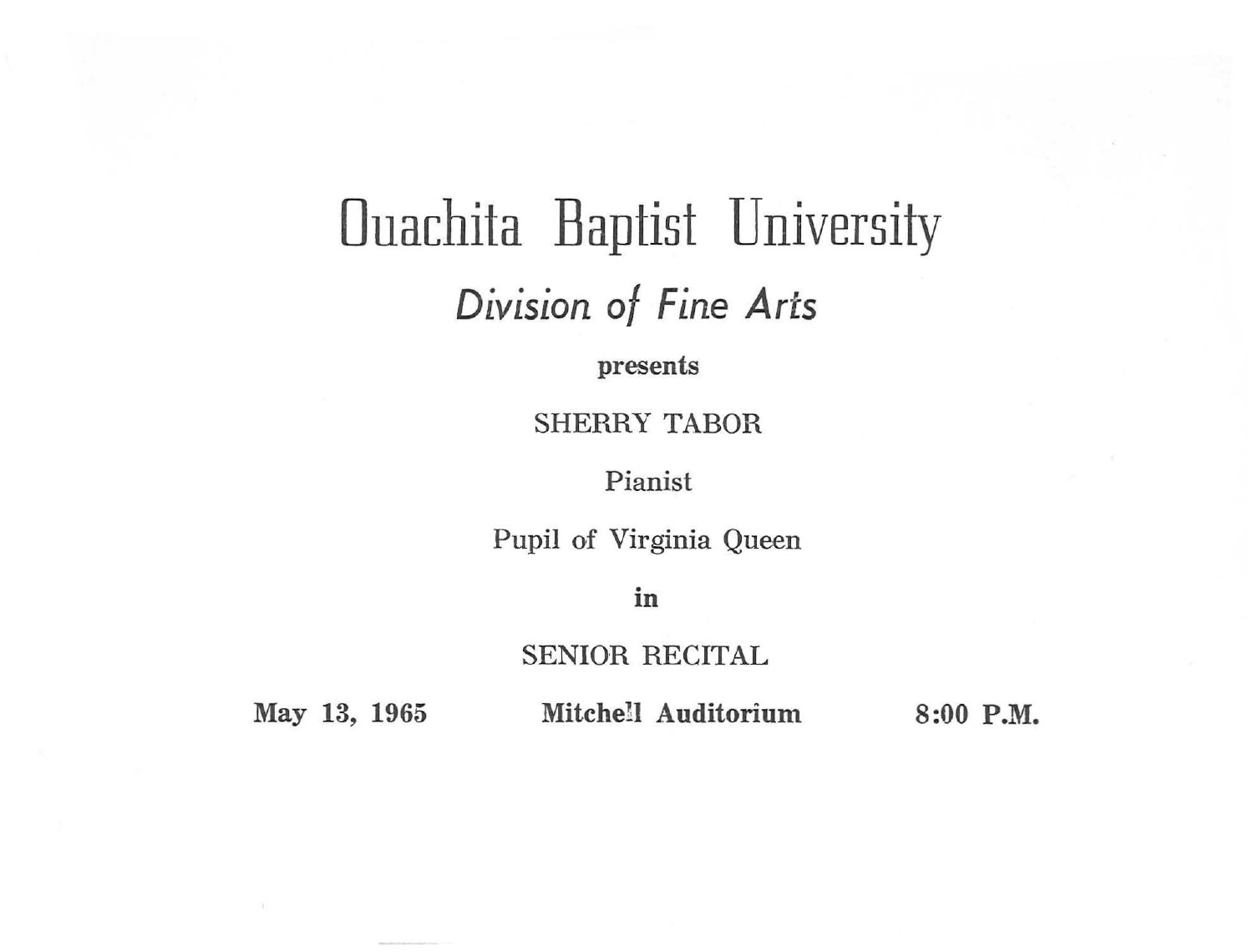## Ouachita Baptist University *Division of Fine Arts*

presents

SHERRY TABOR

Pianist

Pupil of Virginia Queen

in

SENIOR RECITAL

May 13, 1965 Mitchell Auditorium 8:00 P.M.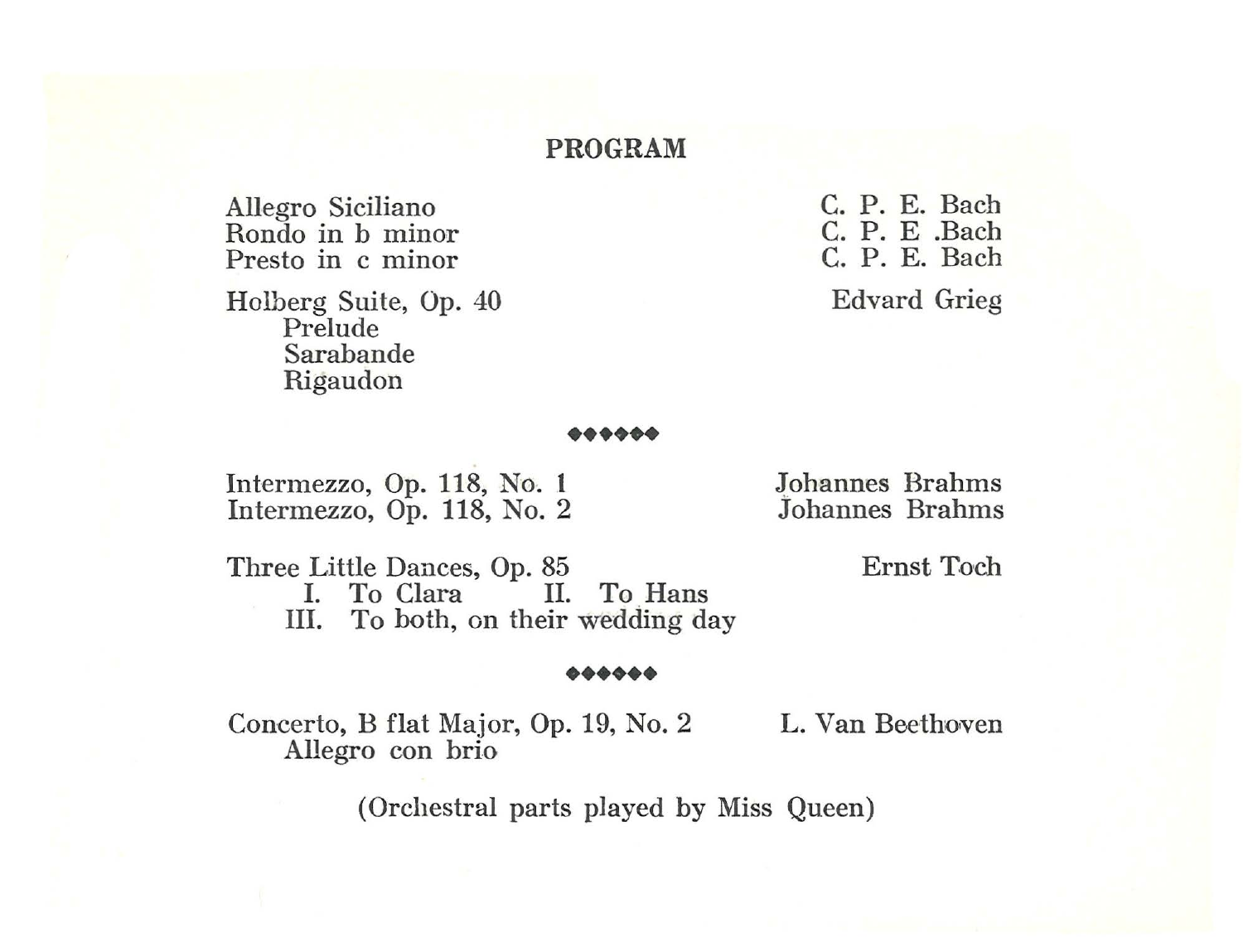#### **PROGRAM**

Allegro Siciliano Rondo in b minor Presto in c minor

Holberg Suite, Op. 40 Prelude Sarabande Rigaudon

C. P. E. Bach C. P. E .Bach C. P. E. Bach Edvard Grieg

# ......

Intermezzo, Op. 118, No. 1<br>
Intermezzo, Op. 118, No. 2<br> **1** *Johannes Brahms* Intermezzo,  $O_p$ . 118, No. 2

Three Little Dances, Op. 85 Ernst Toch<br>
L. To Clara<br>
L. To Hans I. To Clara III. To both, on their wedding day

#### ••••••

Concerto, B flat Major, Op. 19, No. 2 Allegro con brio

L. Van Beethoven

(Orchestral parts played by Miss Queen)